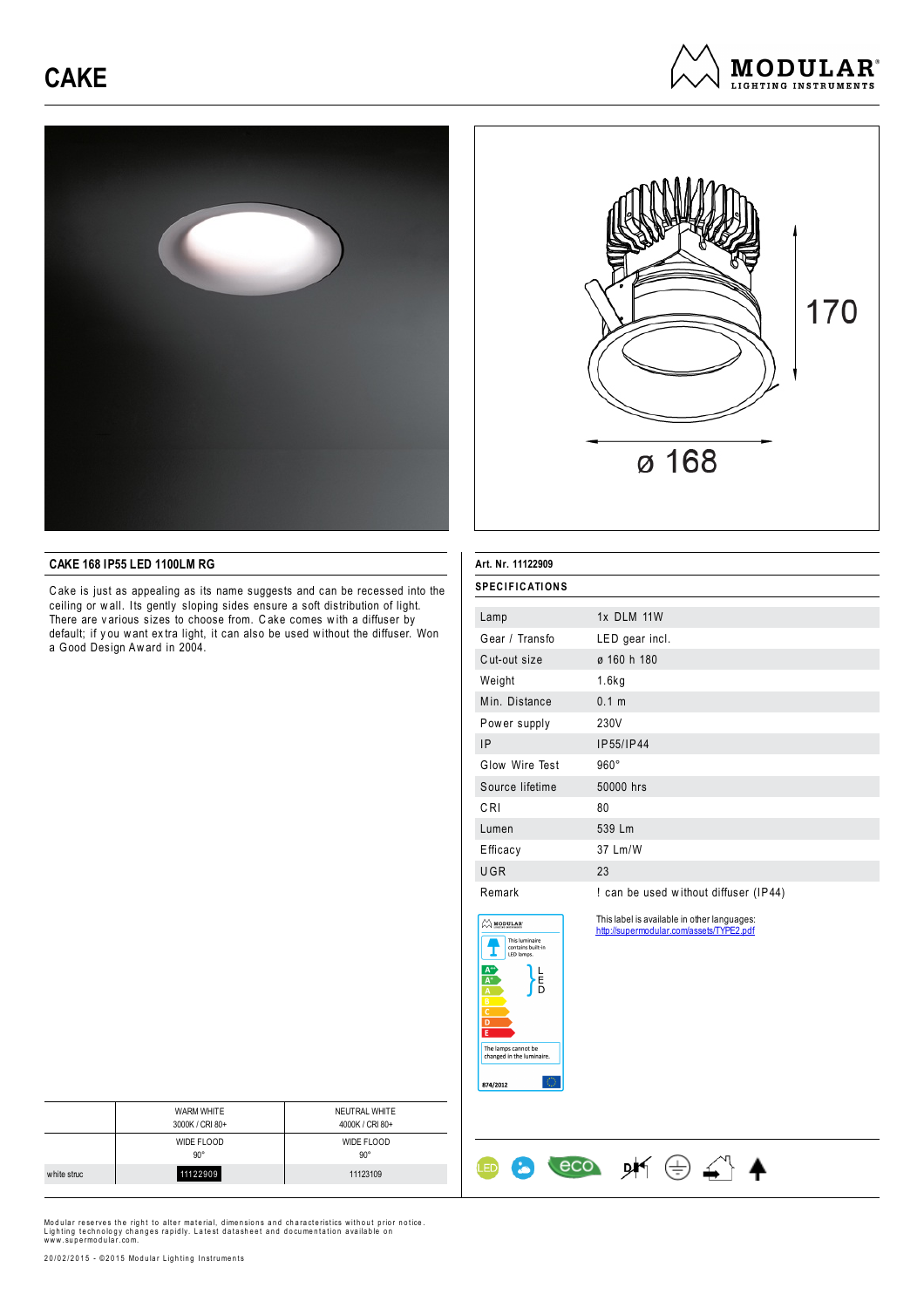# **CAKE**







## **CAKE 168 IP55 LED 1100LM RG**

C ake is just as appealing as its name suggests and can be recessed into the ceiling or w all. Its gently sloping sides ensure a soft distribution of light. There are v arious sizes to choose from. C ake comes w ith a diffuser by default; if y ou w ant ex tra light, it can also be used w ithout the diffuser. Won a Good Design Aw ard in 2004.

| Art. Nr. 11122909     |                                       |  |
|-----------------------|---------------------------------------|--|
| <b>SPECIFICATIONS</b> |                                       |  |
| Lamp                  | 1x DLM 11W                            |  |
| Gear / Transfo        | LED gear incl.                        |  |
| Cut-out size          | ø 160 h 180                           |  |
| Weight                | 1.6kg                                 |  |
| Min. Distance         | 0.1 m                                 |  |
| Power supply          | 230V                                  |  |
| IP                    | IP55/IP44                             |  |
| Glow Wire Test        | $960^\circ$                           |  |
| Source lifetime       | 50000 hrs                             |  |
| C RI                  | 80                                    |  |
| Lumen                 | 539 Lm                                |  |
| Efficacy              | 37 Lm/W                               |  |
| <b>UGR</b>            | 23                                    |  |
| Remark                | ! can be used without diffuser (IP44) |  |

This label is available in other languages: http://supermodular.com/assets/TYPE2.pdf

 $\leftarrow$  eco  $\cancel{p}$   $\leftarrow$   $\leftarrow$   $\leftarrow$   $\leftarrow$ 



 $\bullet$ 

**LED** 

|             | <b>WARM WHITE</b><br>3000K / CRI 80+ | NEUTRAL WHITE<br>4000K / CRI 80+ |
|-------------|--------------------------------------|----------------------------------|
|             | <b>WIDE FLOOD</b><br>$90^\circ$      | WIDE FLOOD<br>$90^{\circ}$       |
| white struc | 11122909                             | 11123109                         |
|             |                                      |                                  |

Modular reserves the right to alter material, dimensions and characteristics without prior notice.<br>Lighting technology changes rapidly. Latest datasheet and documentation available on<br>www.supermodular.com.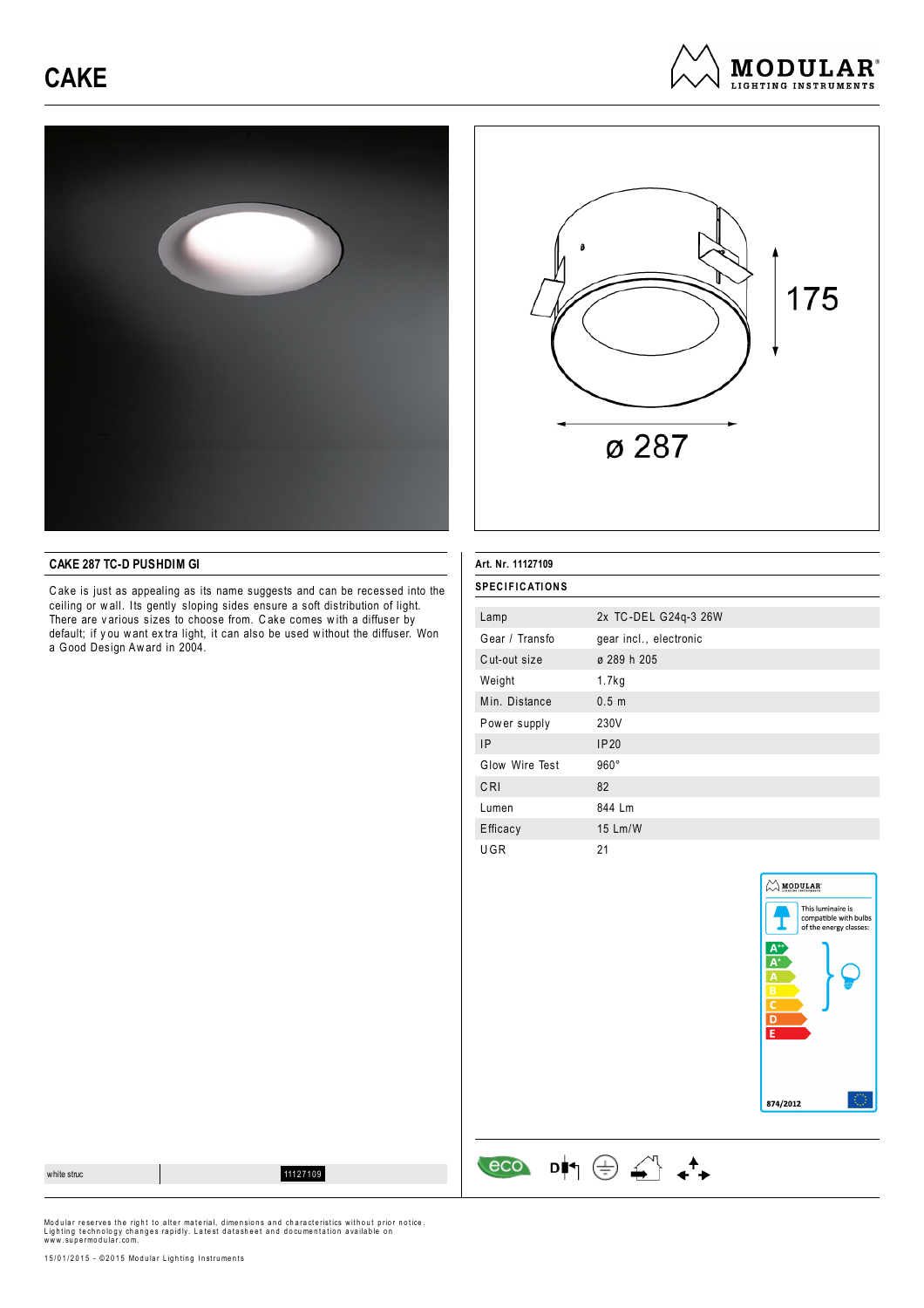# **CAKE**







## **CAKE 287 TC-D PUSHDIM GI**

C ake is just as appealing as its name suggests and can be recessed into the ceiling or w all. Its gently sloping sides ensure a soft distribution of light. There are v arious sizes to choose from. C ake comes w ith a diffuser by default; if y ou w ant ex tra light, it can also be used w ithout the diffuser. Won a Good Design Aw ard in 2004.

### **Art. Nr. 11127109**

| <b>SPECIFICATIONS</b> |                        |  |
|-----------------------|------------------------|--|
| Lamp                  | 2x TC-DEL G24q-3 26W   |  |
| Gear / Transfo        | gear incl., electronic |  |
| Cut-out size          | ø 289 h 205            |  |
| Weight                | 1.7kg                  |  |
| Min. Distance         | 0.5 <sub>m</sub>       |  |
| Power supply          | 230V                   |  |
| IP.                   | IP20                   |  |
| Glow Wire Test        | $960^\circ$            |  |
| CRI                   | 82                     |  |
| Lumen                 | 844 Lm                 |  |
| Efficacy              | 15 Lm/W                |  |
| UGR                   | 21                     |  |

 $\begin{array}{ccc} & & & \\ \hline & & & \\ \hline & & & \\ \hline & & & \\ \hline & & & \\ \hline & & & \\ \hline & & & \\ \hline & & & \\ \hline & & & \\ \hline & & & \\ \hline & & & \\ \hline & & & \\ \hline & & & \\ \hline & & & \\ \hline & & & \\ \hline & & & \\ \hline & & & \\ \hline & & & \\ \hline & & & \\ \hline & & & \\ \hline & & & \\ \hline & & & & \\ \hline & & & & \\ \hline & & & & \\ \hline & & & & \\ \hline & & & & \\ \hline & & & & \\ \hline & & & & \\ \hline & & & & \\ \hline & &$ 



white structure of the control of the control of the control of the control of the control of the control of the control of the control of the control of the control of the control of the control of the control of the cont

Modular reserves the right to alter material, dimensions and characteristics without prior notice.<br>Lighting technology changes rapidly. Latest datasheet and documentation available on<br>www.supermodular.com.